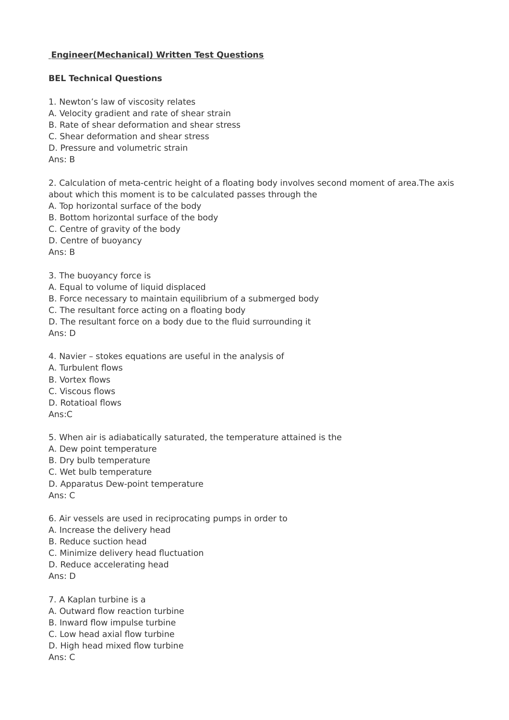## **Engineer(Mechanical) Written Test Questions**

## **BEL Technical Questions**

- 1. Newton's law of viscosity relates
- A. Velocity gradient and rate of shear strain
- B. Rate of shear deformation and shear stress
- C. Shear deformation and shear stress
- D. Pressure and volumetric strain

Ans: B

2. Calculation of meta-centric height of a floating body involves second moment of area.The axis about which this moment is to be calculated passes through the

- A. Top horizontal surface of the body
- B. Bottom horizontal surface of the body
- C. Centre of gravity of the body

D. Centre of buoyancy

Ans: B

- 3. The buoyancy force is
- A. Equal to volume of liquid displaced
- B. Force necessary to maintain equilibrium of a submerged body
- C. The resultant force acting on a floating body
- D. The resultant force on a body due to the fluid surrounding it

Ans: D

- 4. Navier stokes equations are useful in the analysis of
- A. Turbulent flows
- B. Vortex flows
- C. Viscous flows
- D. Rotatioal flows

Ans:C

5. When air is adiabatically saturated, the temperature attained is the

- A. Dew point temperature
- B. Dry bulb temperature
- C. Wet bulb temperature
- D. Apparatus Dew-point temperature

Ans: C

- 6. Air vessels are used in reciprocating pumps in order to
- A. Increase the delivery head
- B. Reduce suction head
- C. Minimize delivery head fluctuation
- D. Reduce accelerating head

Ans: D

- 7. A Kaplan turbine is a
- A. Outward flow reaction turbine
- B. Inward flow impulse turbine
- C. Low head axial flow turbine
- D. High head mixed flow turbine

Ans: C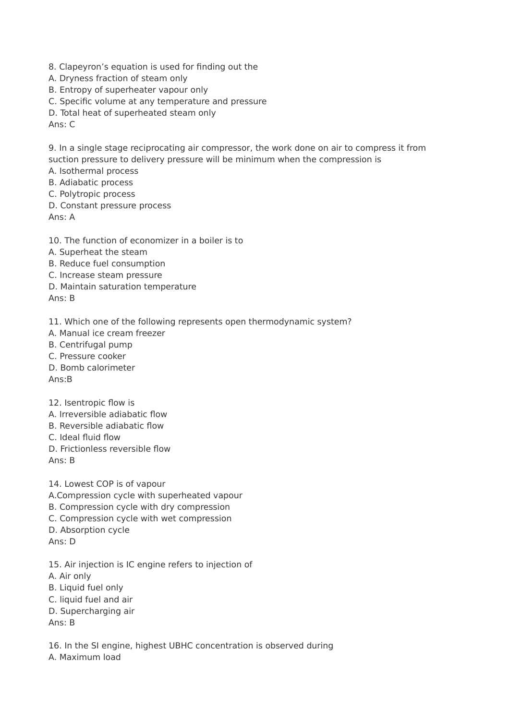- 8. Clapeyron's equation is used for finding out the
- A. Dryness fraction of steam only
- B. Entropy of superheater vapour only
- C. Specific volume at any temperature and pressure
- D. Total heat of superheated steam only

Ans: C

9. In a single stage reciprocating air compressor, the work done on air to compress it from suction pressure to delivery pressure will be minimum when the compression is

- A. Isothermal process
- B. Adiabatic process
- C. Polytropic process
- D. Constant pressure process

Ans: A

- 10. The function of economizer in a boiler is to
- A. Superheat the steam
- B. Reduce fuel consumption
- C. Increase steam pressure
- D. Maintain saturation temperature

Ans: B

11. Which one of the following represents open thermodynamic system?

- A. Manual ice cream freezer
- B. Centrifugal pump
- C. Pressure cooker
- D. Bomb calorimeter

Ans:B

- 12. Isentropic flow is
- A. Irreversible adiabatic flow
- B. Reversible adiabatic flow
- C. Ideal fluid flow
- D. Frictionless reversible flow

Ans: B

14. Lowest COP is of vapour

- A.Compression cycle with superheated vapour
- B. Compression cycle with dry compression
- C. Compression cycle with wet compression
- D. Absorption cycle
- Ans: D
- 15. Air injection is IC engine refers to injection of
- A. Air only
- B. Liquid fuel only
- C. liquid fuel and air
- D. Supercharging air

Ans: B

16. In the SI engine, highest UBHC concentration is observed during A. Maximum load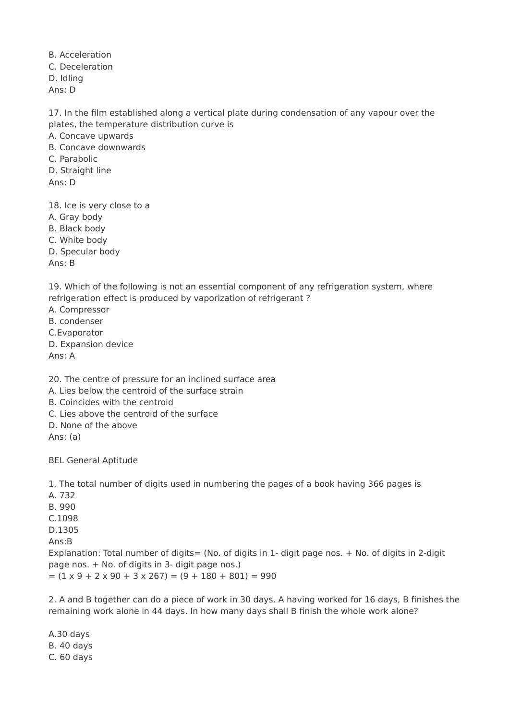B. Acceleration C. Deceleration D. Idling Ans: D

17. In the film established along a vertical plate during condensation of any vapour over the plates, the temperature distribution curve is

A. Concave upwards

B. Concave downwards

C. Parabolic

D. Straight line

Ans: D

18. Ice is very close to a

A. Gray body

B. Black body

C. White body

D. Specular body

Ans: B

19. Which of the following is not an essential component of any refrigeration system, where refrigeration effect is produced by vaporization of refrigerant ?

A. Compressor

B. condenser

C.Evaporator

D. Expansion device

Ans: A

20. The centre of pressure for an inclined surface area

A. Lies below the centroid of the surface strain

B. Coincides with the centroid

C. Lies above the centroid of the surface

D. None of the above

Ans: (a)

BEL General Aptitude

1. The total number of digits used in numbering the pages of a book having 366 pages is

A. 732

B. 990

C.1098

D.1305

Ans:B

Explanation: Total number of digits= (No. of digits in 1- digit page nos. + No. of digits in 2-digit page nos. + No. of digits in 3- digit page nos.)  $= (1 \times 9 + 2 \times 90 + 3 \times 267) = (9 + 180 + 801) = 990$ 

2. A and B together can do a piece of work in 30 days. A having worked for 16 days, B finishes the remaining work alone in 44 days. In how many days shall B finish the whole work alone?

A.30 days B. 40 days C. 60 days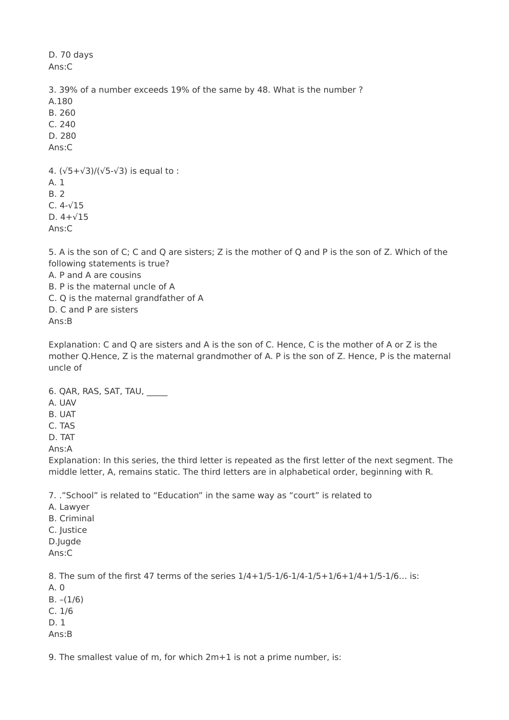Ans:C 3. 39% of a number exceeds 19% of the same by 48. What is the number ? A.180 B. 260 C. 240 D. 280 Ans:C 4.  $(\sqrt{5}+\sqrt{3})/(\sqrt{5}-\sqrt{3})$  is equal to : A. 1 B. 2 C. 4-√15 D. 4+√15

Ans:C

D. 70 days

5. A is the son of C; C and Q are sisters; Z is the mother of Q and P is the son of Z. Which of the following statements is true?

A. P and A are cousins

B. P is the maternal uncle of A

C. Q is the maternal grandfather of A

D. C and P are sisters

Ans:B

Explanation: C and Q are sisters and A is the son of C. Hence, C is the mother of A or Z is the mother Q.Hence, Z is the maternal grandmother of A. P is the son of Z. Hence, P is the maternal uncle of

6. QAR, RAS, SAT, TAU, \_\_\_\_\_

A. UAV

B. UAT

C. TAS

D. TAT

Ans:A

Explanation: In this series, the third letter is repeated as the first letter of the next segment. The middle letter, A, remains static. The third letters are in alphabetical order, beginning with R.

7. ."School" is related to "Education" in the same way as "court" is related to

- A. Lawyer B. Criminal
- C. Justice D.Jugde
- 

Ans:C

8. The sum of the first 47 terms of the series 1/4+1/5-1/6-1/4-1/5+1/6+1/4+1/5-1/6… is:

- A. 0
- B.  $-(1/6)$
- C. 1/6

D. 1

Ans:B

9. The smallest value of m, for which 2m+1 is not a prime number, is: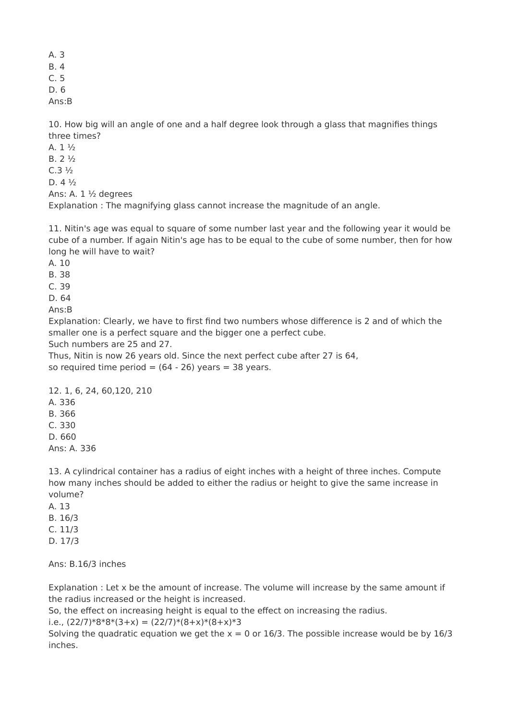A. 3

B. 4

C. 5

D. 6

Ans:B

10. How big will an angle of one and a half degree look through a glass that magnifies things three times?

 $A. 1<sup>1</sup>/<sub>2</sub>$ B. 2 ½

 $C.3\frac{1}{2}$ 

D. 4 ½

Ans: A. 1 ½ degrees

Explanation : The magnifying glass cannot increase the magnitude of an angle.

11. Nitin's age was equal to square of some number last year and the following year it would be cube of a number. If again Nitin's age has to be equal to the cube of some number, then for how long he will have to wait?

A. 10

B. 38

C. 39

D. 64

Ans:B

Explanation: Clearly, we have to first find two numbers whose difference is 2 and of which the smaller one is a perfect square and the bigger one a perfect cube.

Such numbers are 25 and 27.

Thus, Nitin is now 26 years old. Since the next perfect cube after 27 is 64, so required time period  $= (64 - 26)$  years  $= 38$  years.

12. 1, 6, 24, 60,120, 210 A. 336

B. 366

C. 330

D. 660

Ans: A. 336

13. A cylindrical container has a radius of eight inches with a height of three inches. Compute how many inches should be added to either the radius or height to give the same increase in volume?

A. 13 B. 16/3 C. 11/3

D. 17/3

Ans: B.16/3 inches

Explanation : Let x be the amount of increase. The volume will increase by the same amount if the radius increased or the height is increased.

So, the effect on increasing height is equal to the effect on increasing the radius.

i.e.,  $(22/7)*8*8*(3+x) = (22/7)*(8+x)*(8+x)*3$ 

Solving the quadratic equation we get the  $x = 0$  or 16/3. The possible increase would be by 16/3 inches.